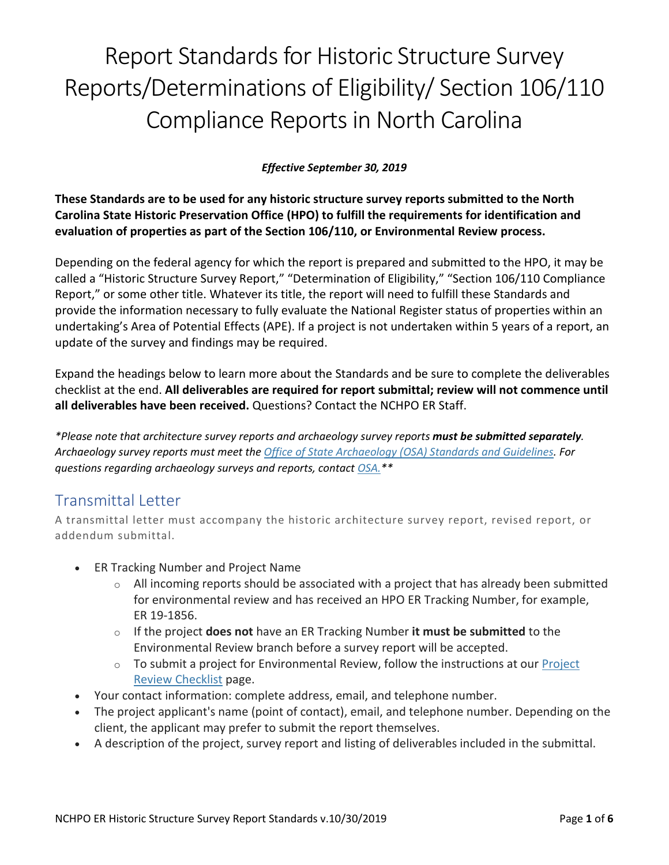# Report Standards for Historic Structure Survey Reports/Determinations of Eligibility/ Section 106/110 Compliance Reports in North Carolina

#### *Effective September 30, 2019*

**These Standards are to be used for any historic structure survey reports submitted to the North Carolina State Historic Preservation Office (HPO) to fulfill the requirements for identification and evaluation of properties as part of the Section 106/110, or Environmental Review process.**

Depending on the federal agency for which the report is prepared and submitted to the HPO, it may be called a "Historic Structure Survey Report," "Determination of Eligibility," "Section 106/110 Compliance Report," or some other title. Whatever its title, the report will need to fulfill these Standards and provide the information necessary to fully evaluate the National Register status of properties within an undertaking's Area of Potential Effects (APE). If a project is not undertaken within 5 years of a report, an update of the survey and findings may be required.

Expand the headings below to learn more about the Standards and be sure to complete the deliverables checklist at the end. **All deliverables are required for report submittal; review will not commence until all deliverables have been received.** Questions? Contact the NCHPO ER Staff.

*\*Please note that architecture survey reports and archaeology survey reports must be submitted separately. Archaeology survey reports must meet the Office [of State Archaeology \(OSA\) Standards and Guidelines.](https://files.nc.gov/dncr-arch/OSA_Guidelines_Dec2017.pdf) For questions regarding archaeology surveys and reports, contact [OSA.\\*](https://archaeology.ncdcr.gov/about/contact-0)\**

## Transmittal Letter

A transmittal letter must accompany the historic architecture survey report, revised report, or addendum submittal.

- ER Tracking Number and Project Name
	- $\circ$  All incoming reports should be associated with a project that has already been submitted for environmental review and has received an HPO ER Tracking Number, for example, ER 19-1856.
	- o If the project **does not** have an ER Tracking Number **it must be submitted** to the Environmental Review branch before a survey report will be accepted.
	- $\circ$  To submit a project for Environmental Review, follow the instructions at our Project [Review Checklist](https://www.ncdcr.gov/node/5702) page.
- Your contact information: complete address, email, and telephone number.
- The project applicant's name (point of contact), email, and telephone number. Depending on the client, the applicant may prefer to submit the report themselves.
- A description of the project, survey report and listing of deliverables included in the submittal.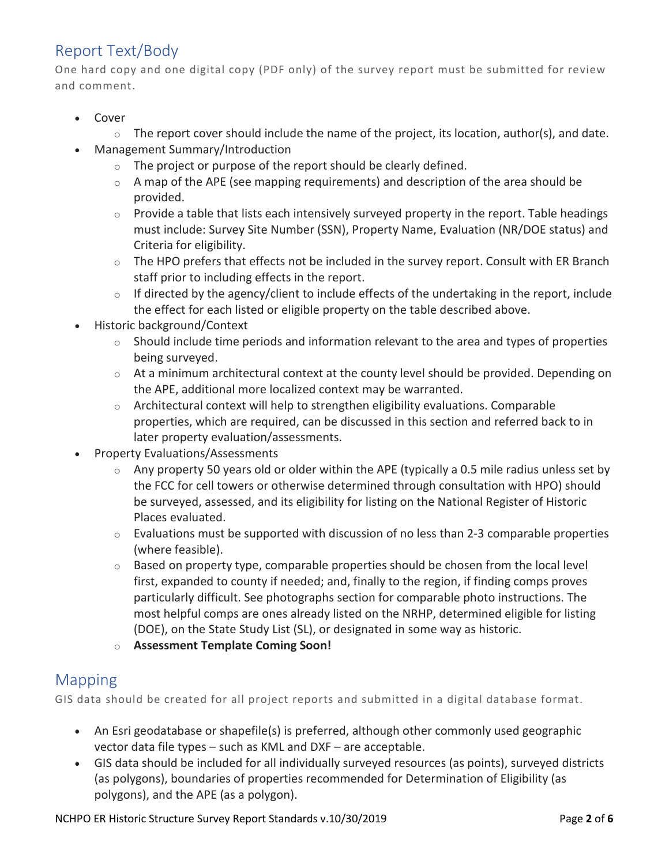## Report Text/Body

One hard copy and one digital copy (PDF only) of the survey report must be submitted for review and comment.

- Cover
	- $\circ$  The report cover should include the name of the project, its location, author(s), and date.
- Management Summary/Introduction
	- o The project or purpose of the report should be clearly defined.
	- $\circ$  A map of the APE (see mapping requirements) and description of the area should be provided.
	- $\circ$  Provide a table that lists each intensively surveyed property in the report. Table headings must include: Survey Site Number (SSN), Property Name, Evaluation (NR/DOE status) and Criteria for eligibility.
	- $\circ$  The HPO prefers that effects not be included in the survey report. Consult with ER Branch staff prior to including effects in the report.
	- $\circ$  If directed by the agency/client to include effects of the undertaking in the report, include the effect for each listed or eligible property on the table described above.
- Historic background/Context
	- $\circ$  Should include time periods and information relevant to the area and types of properties being surveyed.
	- $\circ$  At a minimum architectural context at the county level should be provided. Depending on the APE, additional more localized context may be warranted.
	- $\circ$  Architectural context will help to strengthen eligibility evaluations. Comparable properties, which are required, can be discussed in this section and referred back to in later property evaluation/assessments.
- Property Evaluations/Assessments
	- Any property 50 years old or older within the APE (typically a 0.5 mile radius unless set by the FCC for cell towers or otherwise determined through consultation with HPO) should be surveyed, assessed, and its eligibility for listing on the National Register of Historic Places evaluated.
	- $\circ$  Evaluations must be supported with discussion of no less than 2-3 comparable properties (where feasible).
	- $\circ$  Based on property type, comparable properties should be chosen from the local level first, expanded to county if needed; and, finally to the region, if finding comps proves particularly difficult. See photographs section for comparable photo instructions. The most helpful comps are ones already listed on the NRHP, determined eligible for listing (DOE), on the State Study List (SL), or designated in some way as historic.
	- o **Assessment Template Coming Soon!**

#### Mapping

GIS data should be created for all project reports and submitted in a digital database format.

- An Esri geodatabase or shapefile(s) is preferred, although other commonly used geographic vector data file types – such as KML and DXF – are acceptable.
- GIS data should be included for all individually surveyed resources (as points), surveyed districts (as polygons), boundaries of properties recommended for Determination of Eligibility (as polygons), and the APE (as a polygon).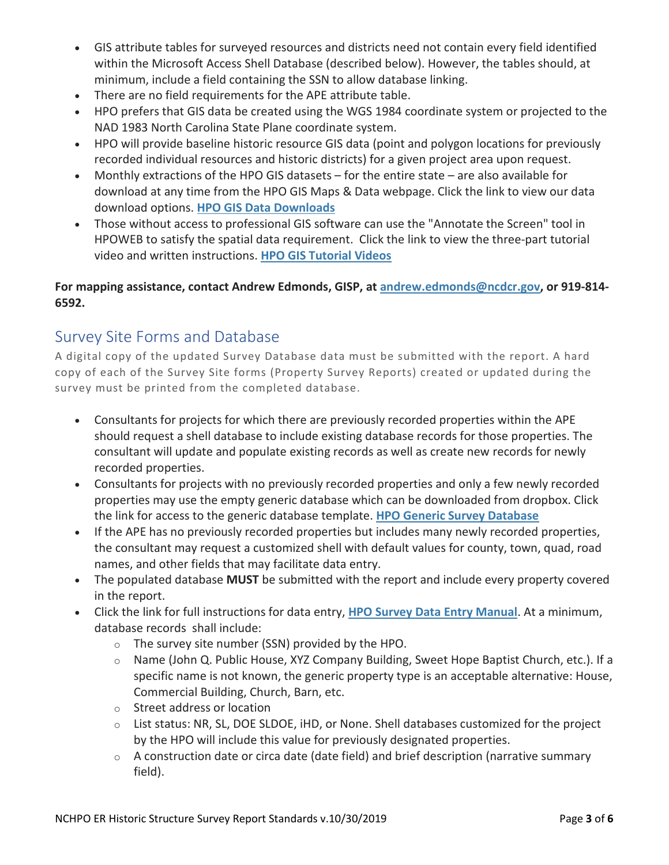- GIS attribute tables for surveyed resources and districts need not contain every field identified within the Microsoft Access Shell Database (described below). However, the tables should, at minimum, include a field containing the SSN to allow database linking.
- There are no field requirements for the APE attribute table.
- HPO prefers that GIS data be created using the WGS 1984 coordinate system or projected to the NAD 1983 North Carolina State Plane coordinate system.
- HPO will provide baseline historic resource GIS data (point and polygon locations for previously recorded individual resources and historic districts) for a given project area upon request.
- Monthly extractions of the HPO GIS datasets for the entire state are also available for download at any time from the HPO GIS Maps & Data webpage. Click the link to view our data download options. **[HPO GIS Data Downloads](https://www.ncdcr.gov/about/history/division-historical-resources/state-historic-preservation-office/gis-maps-and-data#gis-data-download)**
- Those without access to professional GIS software can use the "Annotate the Screen" tool in HPOWEB to satisfy the spatial data requirement. Click the link to view the three-part tutorial video and written instructions. **[HPO GIS Tutorial Videos](https://www.ncdcr.gov/about/history/division-historical-resources/state-historic-preservation-office/gis-maps-and-data#hpoweb-tutorial-videos)**

#### **For mapping assistance, contact Andrew Edmonds, GISP, at [andrew.edmonds@ncdcr.gov,](mailto:andrew.edmonds@ncdcr.gov) or 919-814- 6592.**

## Survey Site Forms and Database

A digital copy of the updated Survey Database data must be submitted with the report. A hard copy of each of the Survey Site forms (Property Survey Reports) created or updated during the survey must be printed from the completed database.

- Consultants for projects for which there are previously recorded properties within the APE should request a shell database to include existing database records for those properties. The consultant will update and populate existing records as well as create new records for newly recorded properties.
- Consultants for projects with no previously recorded properties and only a few newly recorded properties may use the empty generic database which can be downloaded from dropbox. Click the link for access to the generic database template. **[HPO Generic Survey Database](https://www.dropbox.com/sh/f7t2qub1skbr210/AAB5yx-EX0mzb7scuo92C0uPa?dl=0)**
- If the APE has no previously recorded properties but includes many newly recorded properties, the consultant may request a customized shell with default values for county, town, quad, road names, and other fields that may facilitate data entry.
- The populated database **MUST** be submitted with the report and include every property covered in the report.
- Click the link for full instructions for data entry, **[HPO Survey Data Entry Manual](https://files.nc.gov/ncdcr/historic-preservation-office/survey-and-national-register/NCHPOsurveyDataEntryManual-10-2009.pdf)**. At a minimum, database records shall include:
	- o The survey site number (SSN) provided by the HPO.
	- o Name (John Q. Public House, XYZ Company Building, Sweet Hope Baptist Church, etc.). If a specific name is not known, the generic property type is an acceptable alternative: House, Commercial Building, Church, Barn, etc.
	- o Street address or location
	- o List status: NR, SL, DOE SLDOE, iHD, or None. Shell databases customized for the project by the HPO will include this value for previously designated properties.
	- o A construction date or circa date (date field) and brief description (narrative summary field).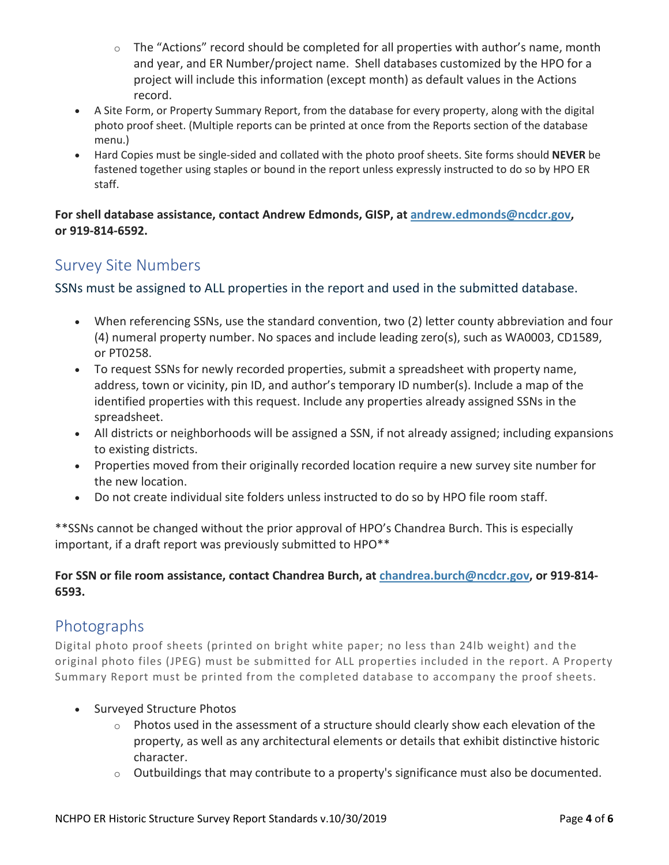- $\circ$  The "Actions" record should be completed for all properties with author's name, month and year, and ER Number/project name. Shell databases customized by the HPO for a project will include this information (except month) as default values in the Actions record.
- A Site Form, or Property Summary Report, from the database for every property, along with the digital photo proof sheet. (Multiple reports can be printed at once from the Reports section of the database menu.)
- Hard Copies must be single-sided and collated with the photo proof sheets. Site forms should **NEVER** be fastened together using staples or bound in the report unless expressly instructed to do so by HPO ER staff.

**For shell database assistance, contact Andrew Edmonds, GISP, at [andrew.edmonds@ncdcr.gov,](mailto:andrew.edmonds@ncdcr.gov) or 919-814-6592.**

## Survey Site Numbers

SSNs must be assigned to ALL properties in the report and used in the submitted database.

- When referencing SSNs, use the standard convention, two (2) letter county abbreviation and four (4) numeral property number. No spaces and include leading zero(s), such as WA0003, CD1589, or PT0258.
- To request SSNs for newly recorded properties, submit a spreadsheet with property name, address, town or vicinity, pin ID, and author's temporary ID number(s). Include a map of the identified properties with this request. Include any properties already assigned SSNs in the spreadsheet.
- All districts or neighborhoods will be assigned a SSN, if not already assigned; including expansions to existing districts.
- Properties moved from their originally recorded location require a new survey site number for the new location.
- Do not create individual site folders unless instructed to do so by HPO file room staff.

\*\*SSNs cannot be changed without the prior approval of HPO's Chandrea Burch. This is especially important, if a draft report was previously submitted to HPO\*\*

#### **For SSN or file room assistance, contact Chandrea Burch, at [chandrea.burch@ncdcr.gov,](mailto:chandrea.burch@ncdcr.gov) or 919-814- 6593.**

## Photographs

Digital photo proof sheets (printed on bright white paper; no less than 24lb weight) and the original photo files (JPEG) must be submitted for ALL properties included in the report. A Property Summary Report must be printed from the completed database to accompany the proof sheets.

- Surveyed Structure Photos
	- $\circ$  Photos used in the assessment of a structure should clearly show each elevation of the property, as well as any architectural elements or details that exhibit distinctive historic character.
	- $\circ$  Outbuildings that may contribute to a property's significance must also be documented.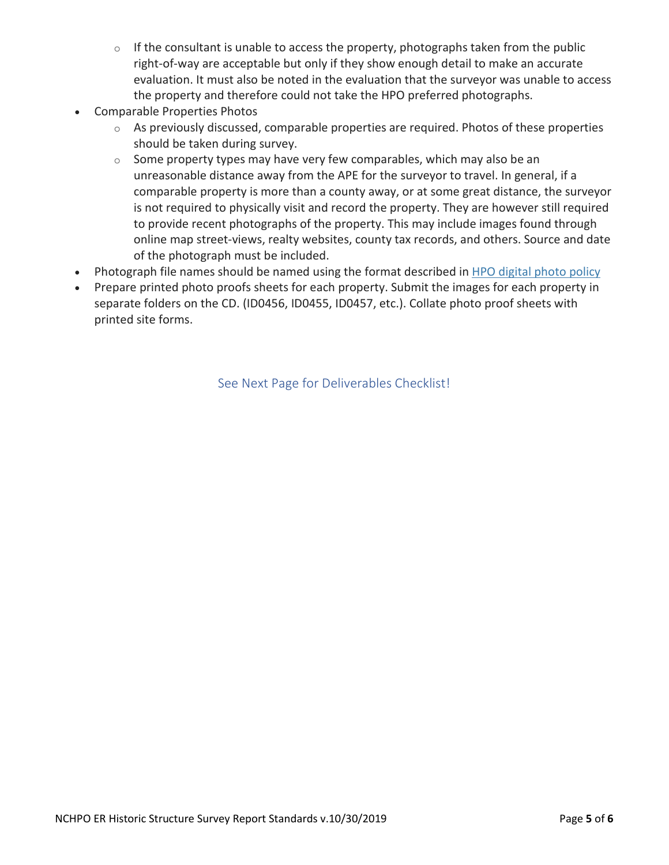- $\circ$  If the consultant is unable to access the property, photographs taken from the public right-of-way are acceptable but only if they show enough detail to make an accurate evaluation. It must also be noted in the evaluation that the surveyor was unable to access the property and therefore could not take the HPO preferred photographs.
- Comparable Properties Photos
	- o As previously discussed, comparable properties are required. Photos of these properties should be taken during survey.
	- $\circ$  Some property types may have very few comparables, which may also be an unreasonable distance away from the APE for the surveyor to travel. In general, if a comparable property is more than a county away, or at some great distance, the surveyor is not required to physically visit and record the property. They are however still required to provide recent photographs of the property. This may include images found through online map street-views, realty websites, county tax records, and others. Source and date of the photograph must be included.
- Photograph file names should be named using the format described in [HPO digital photo policy](https://www.ncdcr.gov/state-historic-preservation-office/architectural-surveys-and-national-register-historic-places-18)
- Prepare printed photo proofs sheets for each property. Submit the images for each property in separate folders on the CD. (ID0456, ID0455, ID0457, etc.). Collate photo proof sheets with printed site forms.

See Next Page for Deliverables Checklist!